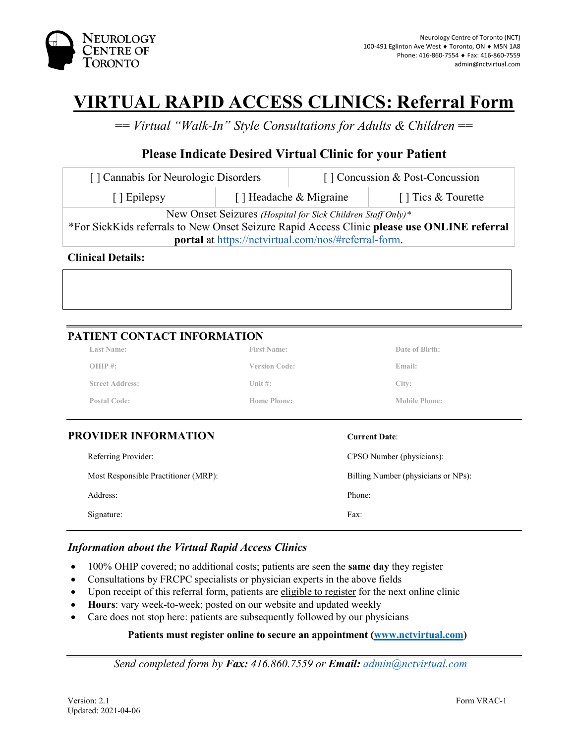

# **VIRTUAL RAPID ACCESS CLINICS: Referral Form**

== *Virtual "Walk-In" Style Consultations for Adults & Children* ==

## **Please Indicate Desired Virtual Clinic for your Patient**

| [] Cannabis for Neurologic Disorders                                                                                                                       |                        | [] Concussion & Post-Concussion |                    |  |
|------------------------------------------------------------------------------------------------------------------------------------------------------------|------------------------|---------------------------------|--------------------|--|
| [ ] Epilepsy                                                                                                                                               | [] Headache & Migraine |                                 | [] Tics & Tourette |  |
| New Onset Seizures (Hospital for Sick Children Staff Only)*<br>*For SickKids referrals to New Onset Seizure Rapid Access Clinic please use ONLINE referral |                        |                                 |                    |  |
| <b>portal</b> at https://nctvirtual.com/nos/#referral-form.                                                                                                |                        |                                 |                    |  |

**Clinical Details:**

### **PATIENT CONTACT INFORMATION**

| <b>Street Address:</b><br>Unit $\#$ :<br>City:<br>Postal Code:<br>Home Phone:<br><b>Mobile Phone:</b> |  |
|-------------------------------------------------------------------------------------------------------|--|
|                                                                                                       |  |
|                                                                                                       |  |
| $OHIP$ #:<br>Email:<br><b>Version Code:</b>                                                           |  |
| <b>Last Name:</b><br><b>First Name:</b><br>Date of Birth:                                             |  |

| Referring Provider:                  | CPSO Number (physicians):           |
|--------------------------------------|-------------------------------------|
| Most Responsible Practitioner (MRP): | Billing Number (physicians or NPs): |
| Address:                             | Phone:                              |
| Signature:                           | Fax:                                |

### *Information about the Virtual Rapid Access Clinics*

- 100% OHIP covered; no additional costs; patients are seen the **same day** they register
- Consultations by FRCPC specialists or physician experts in the above fields
- Upon receipt of this referral form, patients are eligible to register for the next online clinic
- **Hours**: vary week-to-week; posted on our website and updated weekly
- Care does not stop here: patients are subsequently followed by our physicians

#### **Patients must register online to secure an appointment [\(www.nctvirtual.com\)](http://www.nctvirtual.com/)**

*Send completed form by Fax: 416.860.7559 or Email: [admin@nctvirtual.com](mailto:admin@nctvirtual.com)*